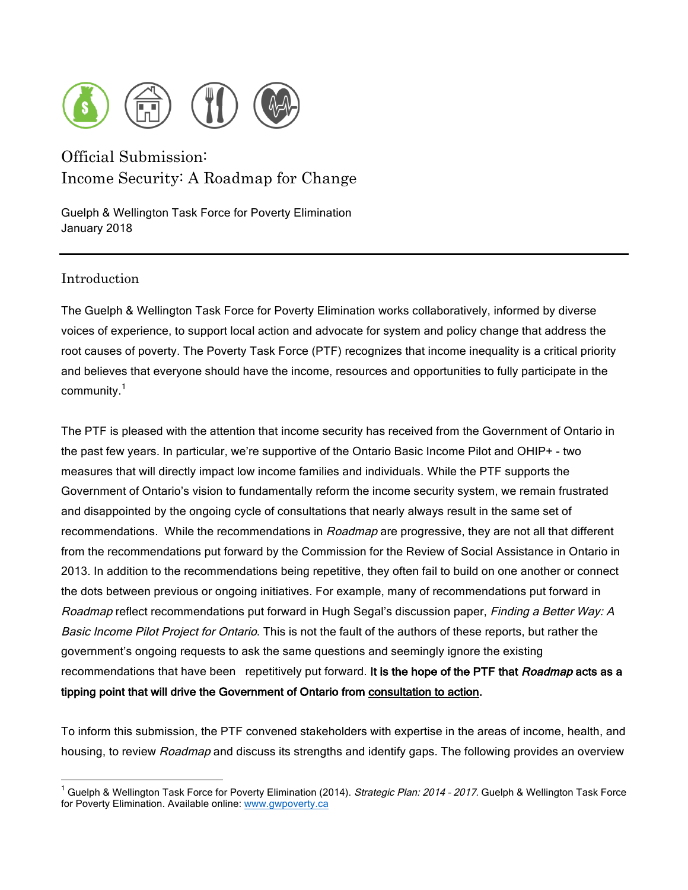

# Official Submission: Income Security: A Roadmap for Change

Guelph & Wellington Task Force for Poverty Elimination January 2018

# Introduction

The Guelph & Wellington Task Force for Poverty Elimination works collaboratively, informed by diverse voices of experience, to support local action and advocate for system and policy change that address the root causes of poverty. The Poverty Task Force (PTF) recognizes that income inequality is a critical priority and believes that everyone should have the income, resources and opportunities to fully participate in the community.<sup>1</sup>

The PTF is pleased with the attention that income security has received from the Government of Ontario in the past few years. In particular, we're supportive of the Ontario Basic Income Pilot and OHIP+ - two measures that will directly impact low income families and individuals. While the PTF supports the Government of Ontario's vision to fundamentally reform the income security system, we remain frustrated and disappointed by the ongoing cycle of consultations that nearly always result in the same set of recommendations. While the recommendations in Roadmap are progressive, they are not all that different from the recommendations put forward by the Commission for the Review of Social Assistance in Ontario in 2013. In addition to the recommendations being repetitive, they often fail to build on one another or connect the dots between previous or ongoing initiatives. For example, many of recommendations put forward in Roadmap reflect recommendations put forward in Hugh Segal's discussion paper, Finding a Better Way: A Basic Income Pilot Project for Ontario. This is not the fault of the authors of these reports, but rather the government's ongoing requests to ask the same questions and seemingly ignore the existing recommendations that have been repetitively put forward. It is the hope of the PTF that Roadmap acts as a tipping point that will drive the Government of Ontario from consultation to action.

To inform this submission, the PTF convened stakeholders with expertise in the areas of income, health, and housing, to review Roadmap and discuss its strengths and identify gaps. The following provides an overview

<sup>&</sup>lt;sup>1</sup> Guelph & Wellington Task Force for Poverty Elimination (2014). Strategic Plan: 2014 - 2017. Guelph & Wellington Task Force for Poverty Elimination. Available online: www.gwpoverty.ca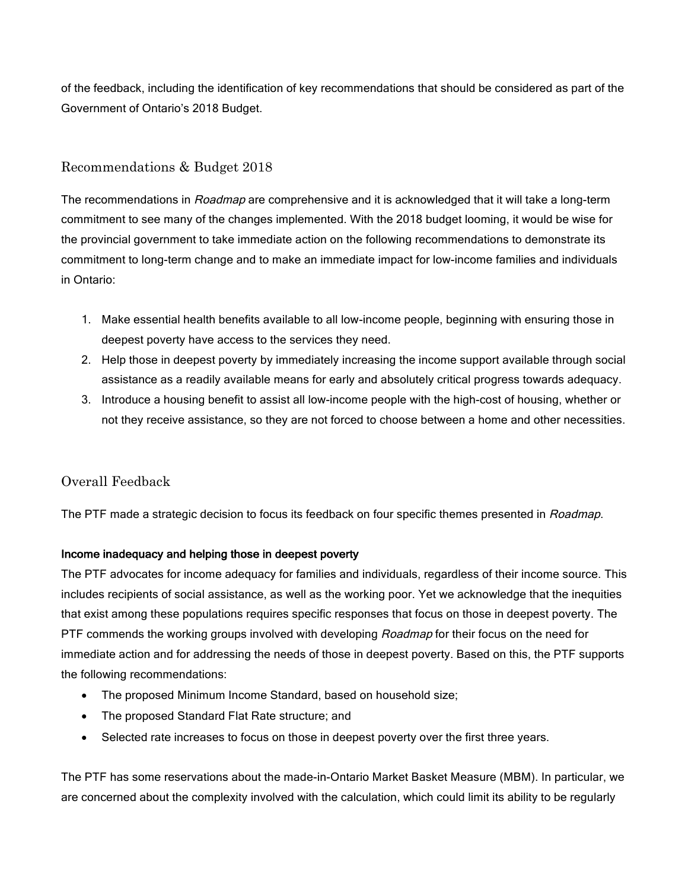of the feedback, including the identification of key recommendations that should be considered as part of the Government of Ontario's 2018 Budget.

## Recommendations & Budget 2018

The recommendations in *Roadmap* are comprehensive and it is acknowledged that it will take a long-term commitment to see many of the changes implemented. With the 2018 budget looming, it would be wise for the provincial government to take immediate action on the following recommendations to demonstrate its commitment to long-term change and to make an immediate impact for low-income families and individuals in Ontario:

- 1. Make essential health benefits available to all low-income people, beginning with ensuring those in deepest poverty have access to the services they need.
- 2. Help those in deepest poverty by immediately increasing the income support available through social assistance as a readily available means for early and absolutely critical progress towards adequacy.
- 3. Introduce a housing benefit to assist all low-income people with the high-cost of housing, whether or not they receive assistance, so they are not forced to choose between a home and other necessities.

## Overall Feedback

The PTF made a strategic decision to focus its feedback on four specific themes presented in Roadmap.

### Income inadequacy and helping those in deepest poverty

The PTF advocates for income adequacy for families and individuals, regardless of their income source. This includes recipients of social assistance, as well as the working poor. Yet we acknowledge that the inequities that exist among these populations requires specific responses that focus on those in deepest poverty. The PTF commends the working groups involved with developing Roadmap for their focus on the need for immediate action and for addressing the needs of those in deepest poverty. Based on this, the PTF supports the following recommendations:

- The proposed Minimum Income Standard, based on household size;
- The proposed Standard Flat Rate structure; and
- Selected rate increases to focus on those in deepest poverty over the first three years.

The PTF has some reservations about the made-in-Ontario Market Basket Measure (MBM). In particular, we are concerned about the complexity involved with the calculation, which could limit its ability to be regularly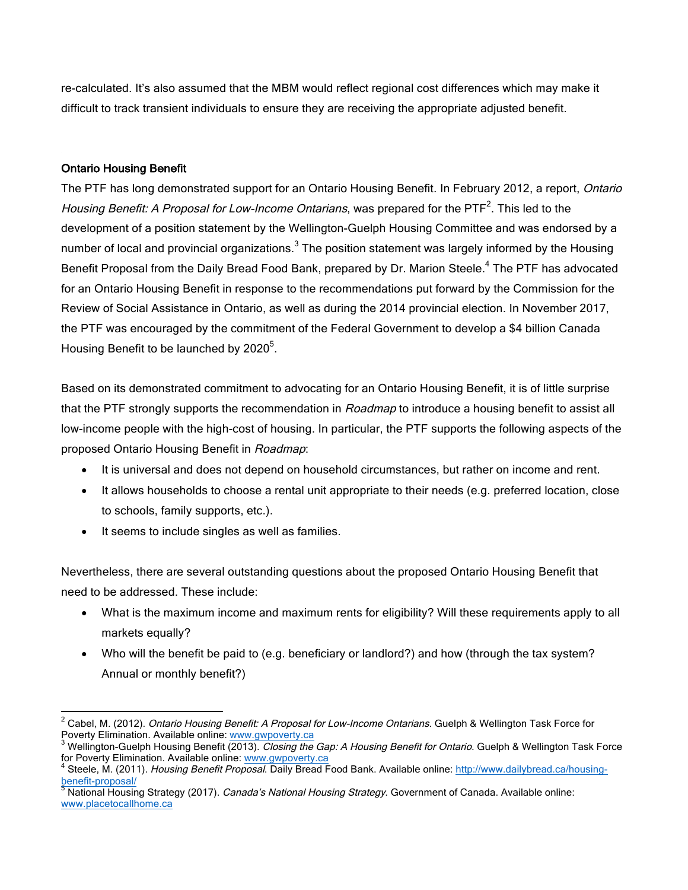re-calculated. It's also assumed that the MBM would reflect regional cost differences which may make it difficult to track transient individuals to ensure they are receiving the appropriate adjusted benefit.

### Ontario Housing Benefit

The PTF has long demonstrated support for an Ontario Housing Benefit. In February 2012, a report, Ontario Housing Benefit: A Proposal for Low-Income Ontarians, was prepared for the PTF<sup>2</sup>. This led to the development of a position statement by the Wellington-Guelph Housing Committee and was endorsed by a number of local and provincial organizations. $3$  The position statement was largely informed by the Housing Benefit Proposal from the Daily Bread Food Bank, prepared by Dr. Marion Steele.<sup>4</sup> The PTF has advocated for an Ontario Housing Benefit in response to the recommendations put forward by the Commission for the Review of Social Assistance in Ontario, as well as during the 2014 provincial election. In November 2017, the PTF was encouraged by the commitment of the Federal Government to develop a \$4 billion Canada Housing Benefit to be launched by 2020 $5$ .

Based on its demonstrated commitment to advocating for an Ontario Housing Benefit, it is of little surprise that the PTF strongly supports the recommendation in Roadmap to introduce a housing benefit to assist all low-income people with the high-cost of housing. In particular, the PTF supports the following aspects of the proposed Ontario Housing Benefit in Roadmap:

- It is universal and does not depend on household circumstances, but rather on income and rent.
- It allows households to choose a rental unit appropriate to their needs (e.g. preferred location, close to schools, family supports, etc.).
- It seems to include singles as well as families.

Nevertheless, there are several outstanding questions about the proposed Ontario Housing Benefit that need to be addressed. These include:

- What is the maximum income and maximum rents for eligibility? Will these requirements apply to all markets equally?
- Who will the benefit be paid to (e.g. beneficiary or landlord?) and how (through the tax system? Annual or monthly benefit?)

<sup>&</sup>lt;sup>2</sup> Cabel, M. (2012). *Ontario Housing Benefit: A Proposal for Low-Income Ontarians.* Guelph & Wellington Task Force for<br>Poverty Elimination. Available online: www.gwpoverty.ca

<sup>&</sup>lt;sup>3</sup> Wellington-Guelph Housing Benefit (2013). *Closing the Gap: A Housing Benefit for Ontario*. Guelph & Wellington Task Force<br>for Poverty Elimination. Available online: <u>www.gwpoverty.ca</u>

Steele, M. (2011). Housing Benefit Proposal. Daily Bread Food Bank. Available online: http://www.dailybread.ca/housing-<u>benefit-proposal/</u><br><sup>5</sup> National Housing Strategy (2017). *Canada's National Housing Strategy*. Government of Canada. Available online:

www.placetocallhome.ca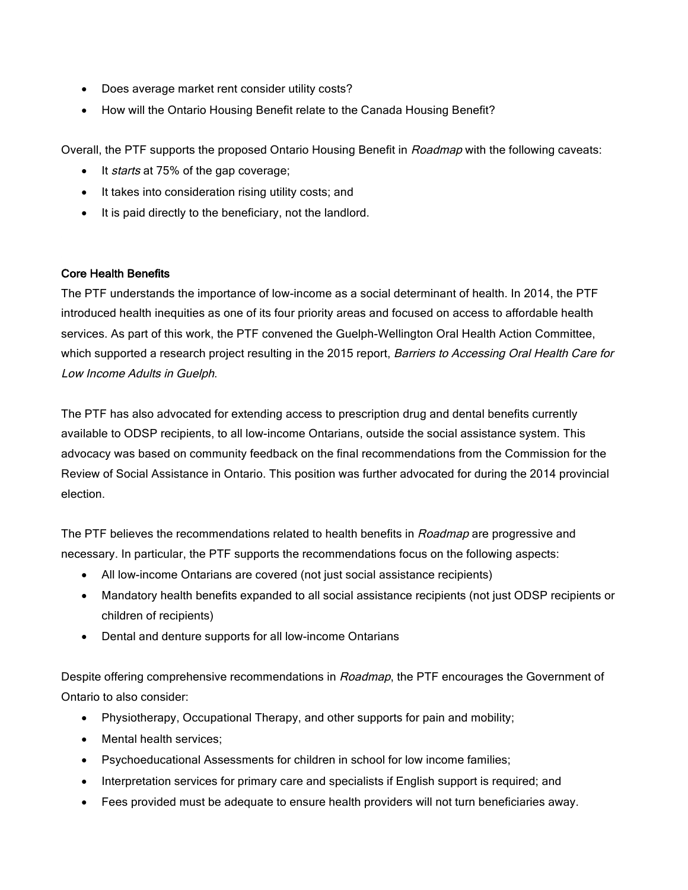- Does average market rent consider utility costs?
- How will the Ontario Housing Benefit relate to the Canada Housing Benefit?

Overall, the PTF supports the proposed Ontario Housing Benefit in Roadmap with the following caveats:

- It *starts* at 75% of the gap coverage;
- It takes into consideration rising utility costs; and
- It is paid directly to the beneficiary, not the landlord.

#### Core Health Benefits

The PTF understands the importance of low-income as a social determinant of health. In 2014, the PTF introduced health inequities as one of its four priority areas and focused on access to affordable health services. As part of this work, the PTF convened the Guelph-Wellington Oral Health Action Committee, which supported a research project resulting in the 2015 report, Barriers to Accessing Oral Health Care for Low Income Adults in Guelph.

The PTF has also advocated for extending access to prescription drug and dental benefits currently available to ODSP recipients, to all low-income Ontarians, outside the social assistance system. This advocacy was based on community feedback on the final recommendations from the Commission for the Review of Social Assistance in Ontario. This position was further advocated for during the 2014 provincial election.

The PTF believes the recommendations related to health benefits in Roadmap are progressive and necessary. In particular, the PTF supports the recommendations focus on the following aspects:

- All low-income Ontarians are covered (not just social assistance recipients)
- Mandatory health benefits expanded to all social assistance recipients (not just ODSP recipients or children of recipients)
- Dental and denture supports for all low-income Ontarians

Despite offering comprehensive recommendations in Roadmap, the PTF encourages the Government of Ontario to also consider:

- Physiotherapy, Occupational Therapy, and other supports for pain and mobility;
- Mental health services;
- Psychoeducational Assessments for children in school for low income families;
- Interpretation services for primary care and specialists if English support is required; and
- Fees provided must be adequate to ensure health providers will not turn beneficiaries away.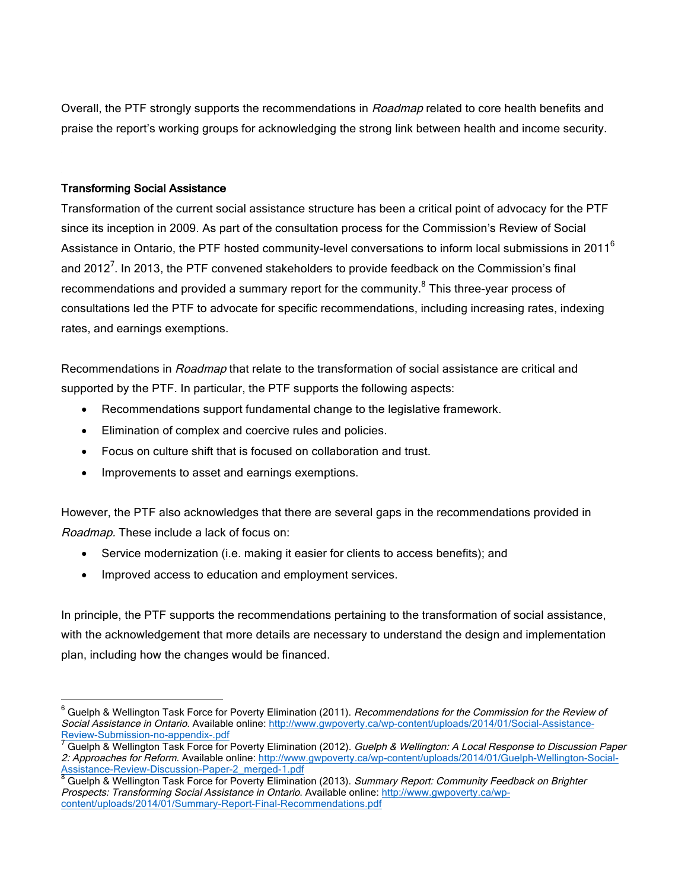Overall, the PTF strongly supports the recommendations in Roadmap related to core health benefits and praise the report's working groups for acknowledging the strong link between health and income security.

#### Transforming Social Assistance

Transformation of the current social assistance structure has been a critical point of advocacy for the PTF since its inception in 2009. As part of the consultation process for the Commission's Review of Social Assistance in Ontario, the PTF hosted community-level conversations to inform local submissions in 2011<sup>6</sup> and 2012<sup>7</sup>. In 2013, the PTF convened stakeholders to provide feedback on the Commission's final recommendations and provided a summary report for the community.<sup>8</sup> This three-year process of consultations led the PTF to advocate for specific recommendations, including increasing rates, indexing rates, and earnings exemptions.

Recommendations in *Roadmap* that relate to the transformation of social assistance are critical and supported by the PTF. In particular, the PTF supports the following aspects:

- Recommendations support fundamental change to the legislative framework.
- Elimination of complex and coercive rules and policies.
- Focus on culture shift that is focused on collaboration and trust.
- Improvements to asset and earnings exemptions.

However, the PTF also acknowledges that there are several gaps in the recommendations provided in Roadmap. These include a lack of focus on:

- Service modernization (i.e. making it easier for clients to access benefits); and
- Improved access to education and employment services.

In principle, the PTF supports the recommendations pertaining to the transformation of social assistance, with the acknowledgement that more details are necessary to understand the design and implementation plan, including how the changes would be financed.

 $6$  Guelph & Wellington Task Force for Poverty Elimination (2011). Recommendations for the Commission for the Review of Social Assistance in Ontario. Available online: http://www.gwpoverty.ca/wp-content/uploads/2014/01/Social-Assistance-<br>Review-Submission-no-appendix-.pdf

<sup>&</sup>lt;sup>7</sup> Guelph & Wellington Task Force for Poverty Elimination (2012). Guelph & Wellington: A Local Response to Discussion Paper 2: Approaches for Reform. Available online: http://www.gwpoverty.ca/wp-content/uploads/2014/01/Guelph-Wellington-Social-Assistance-Review-Discussion-Paper-2\_merged-1.pdf<br>
<sup>8</sup> Guelph & Wellington Task Force for Poverty Elimination (2013). Summary Report: Community Feedback on Brighter

Prospects: Transforming Social Assistance in Ontario. Available online: http://www.gwpoverty.ca/wpcontent/uploads/2014/01/Summary-Report-Final-Recommendations.pdf